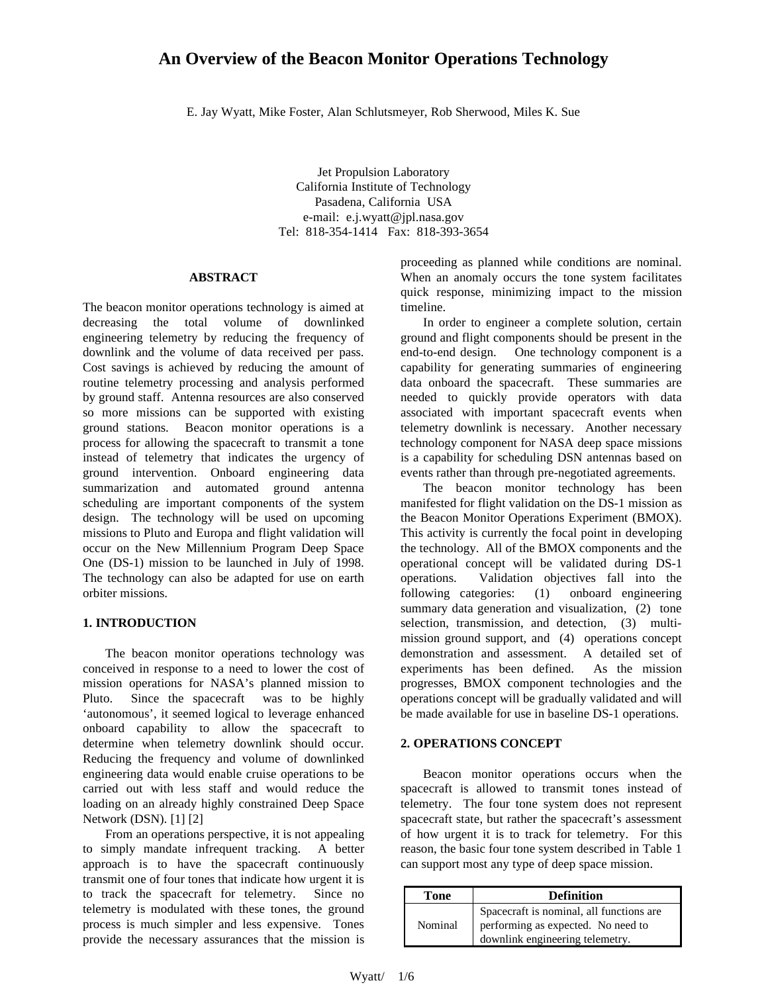# **An Overview of the Beacon Monitor Operations Technology**

E. Jay Wyatt, Mike Foster, Alan Schlutsmeyer, Rob Sherwood, Miles K. Sue

Jet Propulsion Laboratory California Institute of Technology Pasadena, California USA e-mail: e.j.wyatt@jpl.nasa.gov Tel: 818-354-1414 Fax: 818-393-3654

### **ABSTRACT**

The beacon monitor operations technology is aimed at decreasing the total volume of downlinked engineering telemetry by reducing the frequency of downlink and the volume of data received per pass. Cost savings is achieved by reducing the amount of routine telemetry processing and analysis performed by ground staff. Antenna resources are also conserved so more missions can be supported with existing ground stations. Beacon monitor operations is a process for allowing the spacecraft to transmit a tone instead of telemetry that indicates the urgency of ground intervention. Onboard engineering data summarization and automated ground antenna scheduling are important components of the system design. The technology will be used on upcoming missions to Pluto and Europa and flight validation will occur on the New Millennium Program Deep Space One (DS-1) mission to be launched in July of 1998. The technology can also be adapted for use on earth orbiter missions.

#### **1. INTRODUCTION**

The beacon monitor operations technology was conceived in response to a need to lower the cost of mission operations for NASA's planned mission to Pluto. Since the spacecraft was to be highly 'autonomous', it seemed logical to leverage enhanced onboard capability to allow the spacecraft to determine when telemetry downlink should occur. Reducing the frequency and volume of downlinked engineering data would enable cruise operations to be carried out with less staff and would reduce the loading on an already highly constrained Deep Space Network (DSN). [1] [2]

From an operations perspective, it is not appealing to simply mandate infrequent tracking. A better approach is to have the spacecraft continuously transmit one of four tones that indicate how urgent it is to track the spacecraft for telemetry. Since no telemetry is modulated with these tones, the ground process is much simpler and less expensive. Tones provide the necessary assurances that the mission is

proceeding as planned while conditions are nominal. When an anomaly occurs the tone system facilitates quick response, minimizing impact to the mission timeline.

In order to engineer a complete solution, certain ground and flight components should be present in the end-to-end design. One technology component is a capability for generating summaries of engineering data onboard the spacecraft. These summaries are needed to quickly provide operators with data associated with important spacecraft events when telemetry downlink is necessary. Another necessary technology component for NASA deep space missions is a capability for scheduling DSN antennas based on events rather than through pre-negotiated agreements.

The beacon monitor technology has been manifested for flight validation on the DS-1 mission as the Beacon Monitor Operations Experiment (BMOX). This activity is currently the focal point in developing the technology. All of the BMOX components and the operational concept will be validated during DS-1 operations. Validation objectives fall into the following categories: (1) onboard engineering summary data generation and visualization, (2) tone selection, transmission, and detection, (3) multimission ground support, and (4) operations concept demonstration and assessment. A detailed set of experiments has been defined. As the mission progresses, BMOX component technologies and the operations concept will be gradually validated and will be made available for use in baseline DS-1 operations.

### **2. OPERATIONS CONCEPT**

Beacon monitor operations occurs when the spacecraft is allowed to transmit tones instead of telemetry. The four tone system does not represent spacecraft state, but rather the spacecraft's assessment of how urgent it is to track for telemetry. For this reason, the basic four tone system described in Table 1 can support most any type of deep space mission.

| Tone    | <b>Definition</b>                                                                                                 |
|---------|-------------------------------------------------------------------------------------------------------------------|
| Nominal | Spacecraft is nominal, all functions are<br>performing as expected. No need to<br>downlink engineering telemetry. |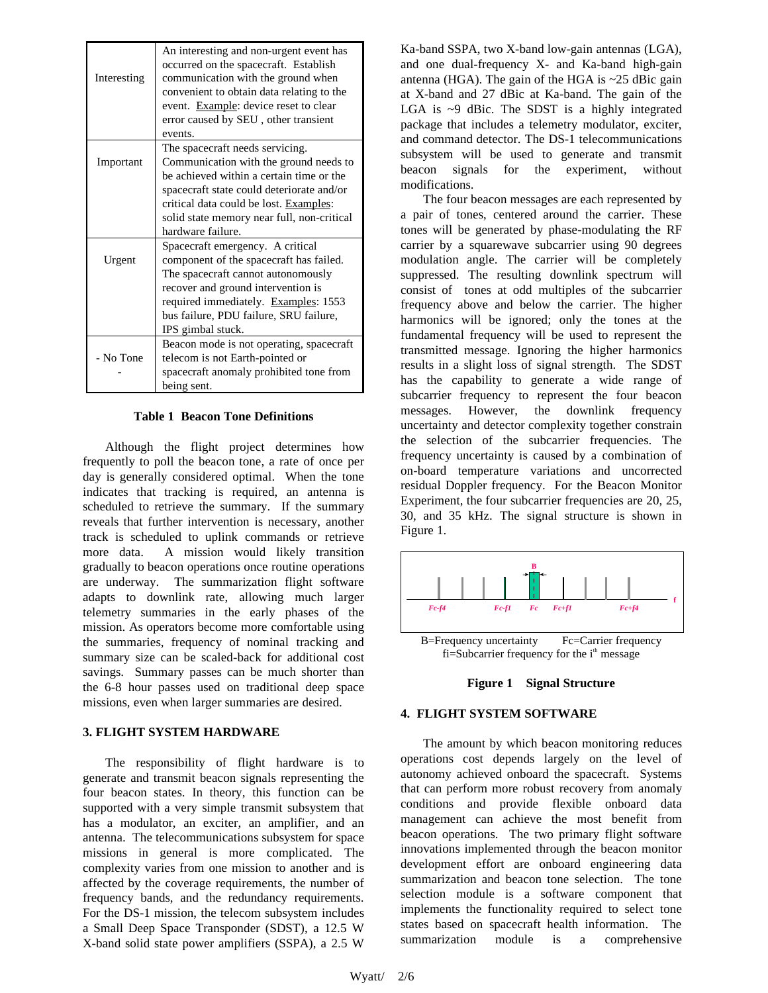| Interesting | An interesting and non-urgent event has<br>occurred on the spacecraft. Establish<br>communication with the ground when<br>convenient to obtain data relating to the<br>event. Example: device reset to clear<br>error caused by SEU, other transient<br>events. |
|-------------|-----------------------------------------------------------------------------------------------------------------------------------------------------------------------------------------------------------------------------------------------------------------|
|             | The spacecraft needs servicing.                                                                                                                                                                                                                                 |
| Important   | Communication with the ground needs to                                                                                                                                                                                                                          |
|             | be achieved within a certain time or the                                                                                                                                                                                                                        |
|             | spacecraft state could deteriorate and/or                                                                                                                                                                                                                       |
|             | critical data could be lost. Examples:                                                                                                                                                                                                                          |
|             | solid state memory near full, non-critical                                                                                                                                                                                                                      |
|             | hardware failure.                                                                                                                                                                                                                                               |
|             | Spacecraft emergency. A critical                                                                                                                                                                                                                                |
| Urgent      | component of the spacecraft has failed.                                                                                                                                                                                                                         |
|             | The spacecraft cannot autonomously                                                                                                                                                                                                                              |
|             | recover and ground intervention is                                                                                                                                                                                                                              |
|             | required immediately. Examples: 1553                                                                                                                                                                                                                            |
|             | bus failure, PDU failure, SRU failure,                                                                                                                                                                                                                          |
|             | IPS gimbal stuck.                                                                                                                                                                                                                                               |
| - No Tone   | Beacon mode is not operating, spacecraft                                                                                                                                                                                                                        |
|             | telecom is not Earth-pointed or                                                                                                                                                                                                                                 |
|             | spacecraft anomaly prohibited tone from                                                                                                                                                                                                                         |
|             | being sent.                                                                                                                                                                                                                                                     |

#### **Table 1 Beacon Tone Definitions**

Although the flight project determines how frequently to poll the beacon tone, a rate of once per day is generally considered optimal. When the tone indicates that tracking is required, an antenna is scheduled to retrieve the summary. If the summary reveals that further intervention is necessary, another track is scheduled to uplink commands or retrieve more data. A mission would likely transition gradually to beacon operations once routine operations are underway. The summarization flight software adapts to downlink rate, allowing much larger telemetry summaries in the early phases of the mission. As operators become more comfortable using the summaries, frequency of nominal tracking and summary size can be scaled-back for additional cost savings. Summary passes can be much shorter than the 6-8 hour passes used on traditional deep space missions, even when larger summaries are desired.

### **3. FLIGHT SYSTEM HARDWARE**

The responsibility of flight hardware is to generate and transmit beacon signals representing the four beacon states. In theory, this function can be supported with a very simple transmit subsystem that has a modulator, an exciter, an amplifier, and an antenna. The telecommunications subsystem for space missions in general is more complicated. The complexity varies from one mission to another and is affected by the coverage requirements, the number of frequency bands, and the redundancy requirements. For the DS-1 mission, the telecom subsystem includes a Small Deep Space Transponder (SDST), a 12.5 W X-band solid state power amplifiers (SSPA), a 2.5 W Ka-band SSPA, two X-band low-gain antennas (LGA), and one dual-frequency X- and Ka-band high-gain antenna (HGA). The gain of the HGA is ~25 dBic gain at X-band and 27 dBic at Ka-band. The gain of the LGA is ~9 dBic. The SDST is a highly integrated package that includes a telemetry modulator, exciter, and command detector. The DS-1 telecommunications subsystem will be used to generate and transmit beacon signals for the experiment, without modifications.

The four beacon messages are each represented by a pair of tones, centered around the carrier. These tones will be generated by phase-modulating the RF carrier by a squarewave subcarrier using 90 degrees modulation angle. The carrier will be completely suppressed. The resulting downlink spectrum will consist of tones at odd multiples of the subcarrier frequency above and below the carrier. The higher harmonics will be ignored; only the tones at the fundamental frequency will be used to represent the transmitted message. Ignoring the higher harmonics results in a slight loss of signal strength. The SDST has the capability to generate a wide range of subcarrier frequency to represent the four beacon messages. However, the downlink frequency uncertainty and detector complexity together constrain the selection of the subcarrier frequencies. The frequency uncertainty is caused by a combination of on-board temperature variations and uncorrected residual Doppler frequency. For the Beacon Monitor Experiment, the four subcarrier frequencies are 20, 25, 30, and 35 kHz. The signal structure is shown in Figure 1.





### **4. FLIGHT SYSTEM SOFTWARE**

The amount by which beacon monitoring reduces operations cost depends largely on the level of autonomy achieved onboard the spacecraft. Systems that can perform more robust recovery from anomaly conditions and provide flexible onboard data management can achieve the most benefit from beacon operations. The two primary flight software innovations implemented through the beacon monitor development effort are onboard engineering data summarization and beacon tone selection. The tone selection module is a software component that implements the functionality required to select tone states based on spacecraft health information. The summarization module is a comprehensive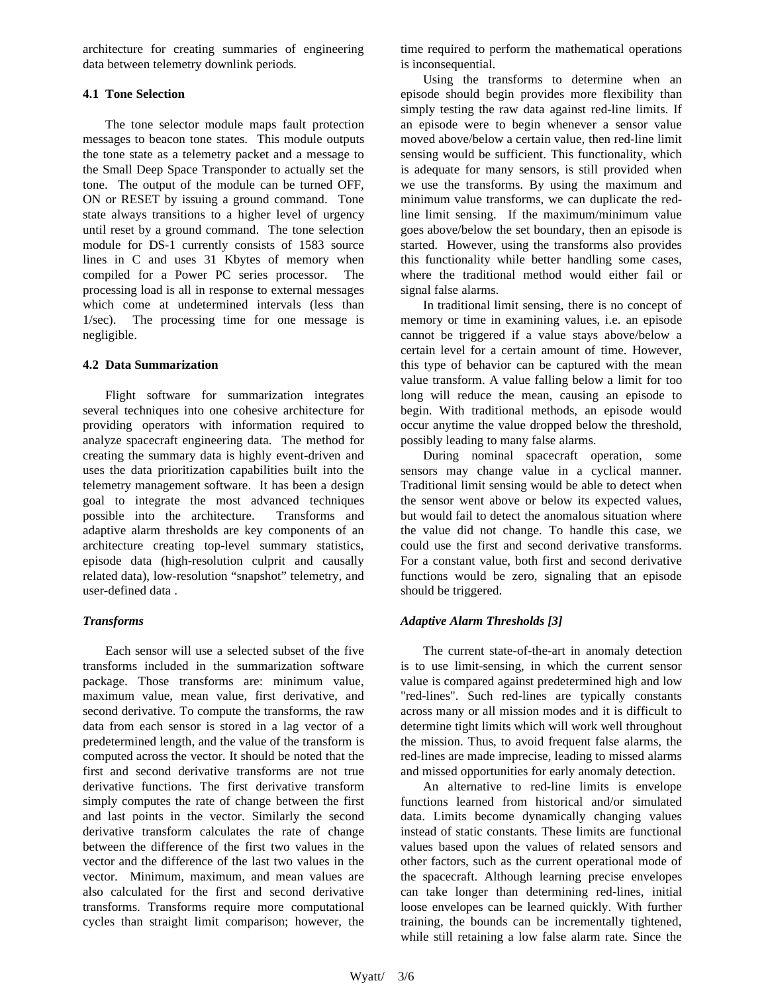architecture for creating summaries of engineering data between telemetry downlink periods.

## **4.1 Tone Selection**

The tone selector module maps fault protection messages to beacon tone states. This module outputs the tone state as a telemetry packet and a message to the Small Deep Space Transponder to actually set the tone. The output of the module can be turned OFF, ON or RESET by issuing a ground command. Tone state always transitions to a higher level of urgency until reset by a ground command. The tone selection module for DS-1 currently consists of 1583 source lines in C and uses 31 Kbytes of memory when compiled for a Power PC series processor. The processing load is all in response to external messages which come at undetermined intervals (less than 1/sec). The processing time for one message is negligible.

## **4.2 Data Summarization**

Flight software for summarization integrates several techniques into one cohesive architecture for providing operators with information required to analyze spacecraft engineering data. The method for creating the summary data is highly event-driven and uses the data prioritization capabilities built into the telemetry management software. It has been a design goal to integrate the most advanced techniques possible into the architecture. Transforms and adaptive alarm thresholds are key components of an architecture creating top-level summary statistics, episode data (high-resolution culprit and causally related data), low-resolution "snapshot" telemetry, and user-defined data .

## *Transforms*

Each sensor will use a selected subset of the five transforms included in the summarization software package. Those transforms are: minimum value, maximum value, mean value, first derivative, and second derivative. To compute the transforms, the raw data from each sensor is stored in a lag vector of a predetermined length, and the value of the transform is computed across the vector. It should be noted that the first and second derivative transforms are not true derivative functions. The first derivative transform simply computes the rate of change between the first and last points in the vector. Similarly the second derivative transform calculates the rate of change between the difference of the first two values in the vector and the difference of the last two values in the vector. Minimum, maximum, and mean values are also calculated for the first and second derivative transforms. Transforms require more computational cycles than straight limit comparison; however, the

time required to perform the mathematical operations is inconsequential.

Using the transforms to determine when an episode should begin provides more flexibility than simply testing the raw data against red-line limits. If an episode were to begin whenever a sensor value moved above/below a certain value, then red-line limit sensing would be sufficient. This functionality, which is adequate for many sensors, is still provided when we use the transforms. By using the maximum and minimum value transforms, we can duplicate the redline limit sensing. If the maximum/minimum value goes above/below the set boundary, then an episode is started. However, using the transforms also provides this functionality while better handling some cases, where the traditional method would either fail or signal false alarms.

In traditional limit sensing, there is no concept of memory or time in examining values, i.e. an episode cannot be triggered if a value stays above/below a certain level for a certain amount of time. However, this type of behavior can be captured with the mean value transform. A value falling below a limit for too long will reduce the mean, causing an episode to begin. With traditional methods, an episode would occur anytime the value dropped below the threshold, possibly leading to many false alarms.

During nominal spacecraft operation, some sensors may change value in a cyclical manner. Traditional limit sensing would be able to detect when the sensor went above or below its expected values, but would fail to detect the anomalous situation where the value did not change. To handle this case, we could use the first and second derivative transforms. For a constant value, both first and second derivative functions would be zero, signaling that an episode should be triggered.

## *Adaptive Alarm Thresholds [3]*

The current state-of-the-art in anomaly detection is to use limit-sensing, in which the current sensor value is compared against predetermined high and low "red-lines". Such red-lines are typically constants across many or all mission modes and it is difficult to determine tight limits which will work well throughout the mission. Thus, to avoid frequent false alarms, the red-lines are made imprecise, leading to missed alarms and missed opportunities for early anomaly detection.

An alternative to red-line limits is envelope functions learned from historical and/or simulated data. Limits become dynamically changing values instead of static constants. These limits are functional values based upon the values of related sensors and other factors, such as the current operational mode of the spacecraft. Although learning precise envelopes can take longer than determining red-lines, initial loose envelopes can be learned quickly. With further training, the bounds can be incrementally tightened, while still retaining a low false alarm rate. Since the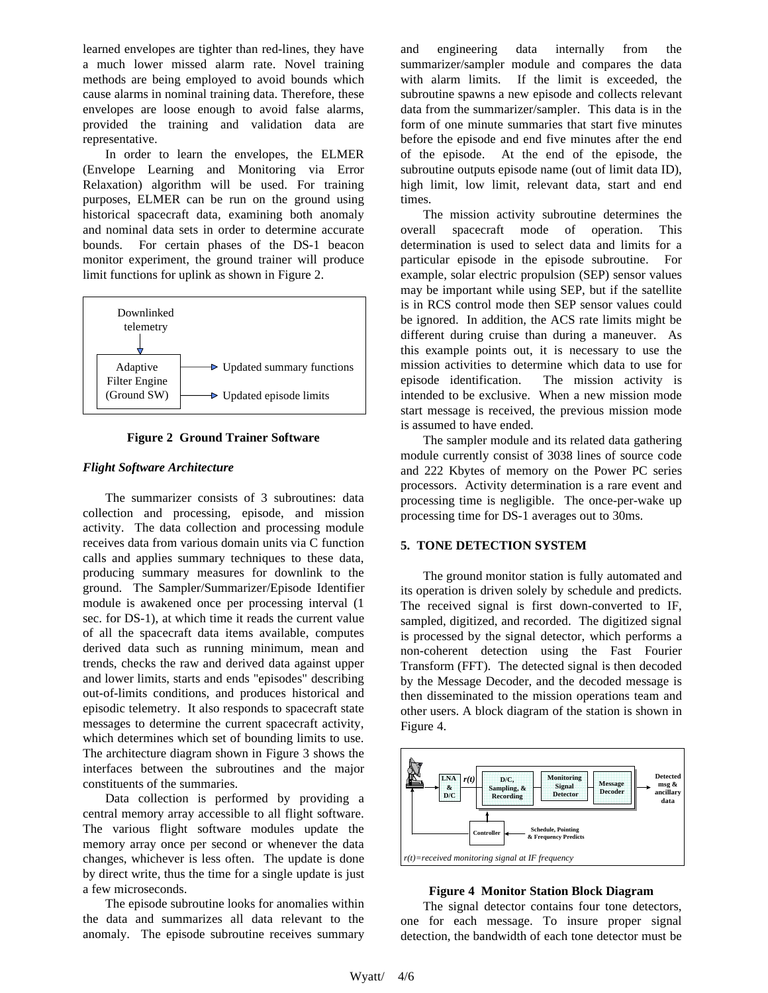learned envelopes are tighter than red-lines, they have a much lower missed alarm rate. Novel training methods are being employed to avoid bounds which cause alarms in nominal training data. Therefore, these envelopes are loose enough to avoid false alarms, provided the training and validation data are representative.

In order to learn the envelopes, the ELMER (Envelope Learning and Monitoring via Error Relaxation) algorithm will be used. For training purposes, ELMER can be run on the ground using historical spacecraft data, examining both anomaly and nominal data sets in order to determine accurate bounds. For certain phases of the DS-1 beacon monitor experiment, the ground trainer will produce limit functions for uplink as shown in Figure 2.





### *Flight Software Architecture*

The summarizer consists of 3 subroutines: data collection and processing, episode, and mission activity. The data collection and processing module receives data from various domain units via C function calls and applies summary techniques to these data, producing summary measures for downlink to the ground. The Sampler/Summarizer/Episode Identifier module is awakened once per processing interval (1 sec. for DS-1), at which time it reads the current value of all the spacecraft data items available, computes derived data such as running minimum, mean and trends, checks the raw and derived data against upper and lower limits, starts and ends "episodes" describing out-of-limits conditions, and produces historical and episodic telemetry. It also responds to spacecraft state messages to determine the current spacecraft activity, which determines which set of bounding limits to use. The architecture diagram shown in Figure 3 shows the interfaces between the subroutines and the major constituents of the summaries.

Data collection is performed by providing a central memory array accessible to all flight software. The various flight software modules update the memory array once per second or whenever the data changes, whichever is less often. The update is done by direct write, thus the time for a single update is just a few microseconds.

The episode subroutine looks for anomalies within the data and summarizes all data relevant to the anomaly. The episode subroutine receives summary

and engineering data internally from the summarizer/sampler module and compares the data with alarm limits. If the limit is exceeded, the subroutine spawns a new episode and collects relevant data from the summarizer/sampler. This data is in the form of one minute summaries that start five minutes before the episode and end five minutes after the end of the episode. At the end of the episode, the subroutine outputs episode name (out of limit data ID), high limit, low limit, relevant data, start and end times.

The mission activity subroutine determines the overall spacecraft mode of operation. This determination is used to select data and limits for a particular episode in the episode subroutine. For example, solar electric propulsion (SEP) sensor values may be important while using SEP, but if the satellite is in RCS control mode then SEP sensor values could be ignored. In addition, the ACS rate limits might be different during cruise than during a maneuver. As this example points out, it is necessary to use the mission activities to determine which data to use for episode identification. The mission activity is intended to be exclusive. When a new mission mode start message is received, the previous mission mode is assumed to have ended.

The sampler module and its related data gathering module currently consist of 3038 lines of source code and 222 Kbytes of memory on the Power PC series processors. Activity determination is a rare event and processing time is negligible. The once-per-wake up processing time for DS-1 averages out to 30ms.

### **5. TONE DETECTION SYSTEM**

The ground monitor station is fully automated and its operation is driven solely by schedule and predicts. The received signal is first down-converted to IF, sampled, digitized, and recorded. The digitized signal is processed by the signal detector, which performs a non-coherent detection using the Fast Fourier Transform (FFT). The detected signal is then decoded by the Message Decoder, and the decoded message is then disseminated to the mission operations team and other users. A block diagram of the station is shown in Figure 4.



### **Figure 4 Monitor Station Block Diagram**

The signal detector contains four tone detectors, one for each message. To insure proper signal detection, the bandwidth of each tone detector must be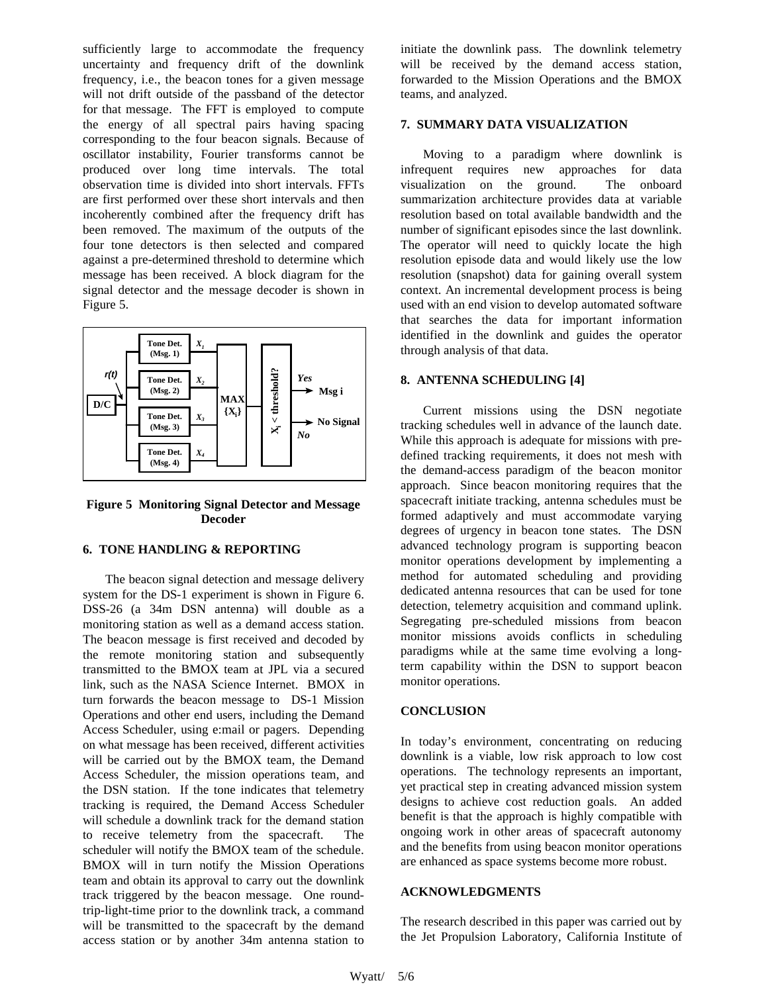sufficiently large to accommodate the frequency uncertainty and frequency drift of the downlink frequency, i.e., the beacon tones for a given message will not drift outside of the passband of the detector for that message. The FFT is employed to compute the energy of all spectral pairs having spacing corresponding to the four beacon signals. Because of oscillator instability, Fourier transforms cannot be produced over long time intervals. The total observation time is divided into short intervals. FFTs are first performed over these short intervals and then incoherently combined after the frequency drift has been removed. The maximum of the outputs of the four tone detectors is then selected and compared against a pre-determined threshold to determine which message has been received. A block diagram for the signal detector and the message decoder is shown in Figure 5.



**Figure 5 Monitoring Signal Detector and Message Decoder**

#### **6. TONE HANDLING & REPORTING**

The beacon signal detection and message delivery system for the DS-1 experiment is shown in Figure 6. DSS-26 (a 34m DSN antenna) will double as a monitoring station as well as a demand access station. The beacon message is first received and decoded by the remote monitoring station and subsequently transmitted to the BMOX team at JPL via a secured link, such as the NASA Science Internet. BMOX in turn forwards the beacon message to DS-1 Mission Operations and other end users, including the Demand Access Scheduler, using e:mail or pagers. Depending on what message has been received, different activities will be carried out by the BMOX team, the Demand Access Scheduler, the mission operations team, and the DSN station. If the tone indicates that telemetry tracking is required, the Demand Access Scheduler will schedule a downlink track for the demand station to receive telemetry from the spacecraft. The scheduler will notify the BMOX team of the schedule. BMOX will in turn notify the Mission Operations team and obtain its approval to carry out the downlink track triggered by the beacon message. One roundtrip-light-time prior to the downlink track, a command will be transmitted to the spacecraft by the demand access station or by another 34m antenna station to initiate the downlink pass. The downlink telemetry will be received by the demand access station, forwarded to the Mission Operations and the BMOX teams, and analyzed.

### **7. SUMMARY DATA VISUALIZATION**

Moving to a paradigm where downlink is infrequent requires new approaches for data visualization on the ground. The onboard summarization architecture provides data at variable resolution based on total available bandwidth and the number of significant episodes since the last downlink. The operator will need to quickly locate the high resolution episode data and would likely use the low resolution (snapshot) data for gaining overall system context. An incremental development process is being used with an end vision to develop automated software that searches the data for important information identified in the downlink and guides the operator through analysis of that data.

### **8. ANTENNA SCHEDULING [4]**

Current missions using the DSN negotiate tracking schedules well in advance of the launch date. While this approach is adequate for missions with predefined tracking requirements, it does not mesh with the demand-access paradigm of the beacon monitor approach. Since beacon monitoring requires that the spacecraft initiate tracking, antenna schedules must be formed adaptively and must accommodate varying degrees of urgency in beacon tone states. The DSN advanced technology program is supporting beacon monitor operations development by implementing a method for automated scheduling and providing dedicated antenna resources that can be used for tone detection, telemetry acquisition and command uplink. Segregating pre-scheduled missions from beacon monitor missions avoids conflicts in scheduling paradigms while at the same time evolving a longterm capability within the DSN to support beacon monitor operations.

### **CONCLUSION**

In today's environment, concentrating on reducing downlink is a viable, low risk approach to low cost operations. The technology represents an important, yet practical step in creating advanced mission system designs to achieve cost reduction goals. An added benefit is that the approach is highly compatible with ongoing work in other areas of spacecraft autonomy and the benefits from using beacon monitor operations are enhanced as space systems become more robust.

### **ACKNOWLEDGMENTS**

The research described in this paper was carried out by the Jet Propulsion Laboratory, California Institute of